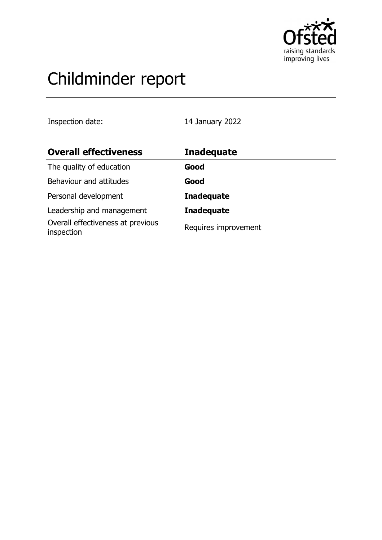

# Childminder report

Inspection date: 14 January 2022

| <b>Overall effectiveness</b>                    | <b>Inadequate</b>    |
|-------------------------------------------------|----------------------|
| The quality of education                        | Good                 |
| Behaviour and attitudes                         | Good                 |
| Personal development                            | <b>Inadequate</b>    |
| Leadership and management                       | <b>Inadequate</b>    |
| Overall effectiveness at previous<br>inspection | Requires improvement |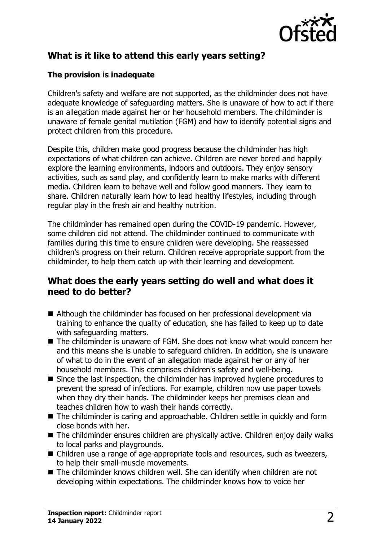

# **What is it like to attend this early years setting?**

#### **The provision is inadequate**

Children's safety and welfare are not supported, as the childminder does not have adequate knowledge of safeguarding matters. She is unaware of how to act if there is an allegation made against her or her household members. The childminder is unaware of female genital mutilation (FGM) and how to identify potential signs and protect children from this procedure.

Despite this, children make good progress because the childminder has high expectations of what children can achieve. Children are never bored and happily explore the learning environments, indoors and outdoors. They enjoy sensory activities, such as sand play, and confidently learn to make marks with different media. Children learn to behave well and follow good manners. They learn to share. Children naturally learn how to lead healthy lifestyles, including through regular play in the fresh air and healthy nutrition.

The childminder has remained open during the COVID-19 pandemic. However, some children did not attend. The childminder continued to communicate with families during this time to ensure children were developing. She reassessed children's progress on their return. Children receive appropriate support from the childminder, to help them catch up with their learning and development.

### **What does the early years setting do well and what does it need to do better?**

- Although the childminder has focused on her professional development via training to enhance the quality of education, she has failed to keep up to date with safeguarding matters.
- The childminder is unaware of FGM. She does not know what would concern her and this means she is unable to safeguard children. In addition, she is unaware of what to do in the event of an allegation made against her or any of her household members. This comprises children's safety and well-being.
- $\blacksquare$  Since the last inspection, the childminder has improved hygiene procedures to prevent the spread of infections. For example, children now use paper towels when they dry their hands. The childminder keeps her premises clean and teaches children how to wash their hands correctly.
- $\blacksquare$  The childminder is caring and approachable. Children settle in quickly and form close bonds with her.
- $\blacksquare$  The childminder ensures children are physically active. Children enjoy daily walks to local parks and playgrounds.
- Children use a range of age-appropriate tools and resources, such as tweezers, to help their small-muscle movements.
- $\blacksquare$  The childminder knows children well. She can identify when children are not developing within expectations. The childminder knows how to voice her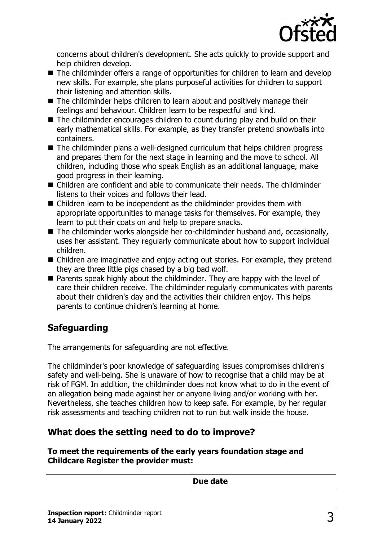

concerns about children's development. She acts quickly to provide support and help children develop.

- The childminder offers a range of opportunities for children to learn and develop new skills. For example, she plans purposeful activities for children to support their listening and attention skills.
- $\blacksquare$  The childminder helps children to learn about and positively manage their feelings and behaviour. Children learn to be respectful and kind.
- $\blacksquare$  The childminder encourages children to count during play and build on their early mathematical skills. For example, as they transfer pretend snowballs into containers.
- $\blacksquare$  The childminder plans a well-designed curriculum that helps children progress and prepares them for the next stage in learning and the move to school. All children, including those who speak English as an additional language, make good progress in their learning.
- $\blacksquare$  Children are confident and able to communicate their needs. The childminder listens to their voices and follows their lead.
- $\blacksquare$  Children learn to be independent as the childminder provides them with appropriate opportunities to manage tasks for themselves. For example, they learn to put their coats on and help to prepare snacks.
- $\blacksquare$  The childminder works alongside her co-childminder husband and, occasionally, uses her assistant. They regularly communicate about how to support individual children.
- $\blacksquare$  Children are imaginative and enjoy acting out stories. For example, they pretend they are three little pigs chased by a big bad wolf.
- Parents speak highly about the childminder. They are happy with the level of care their children receive. The childminder regularly communicates with parents about their children's day and the activities their children enjoy. This helps parents to continue children's learning at home.

# **Safeguarding**

The arrangements for safeguarding are not effective.

The childminder's poor knowledge of safeguarding issues compromises children's safety and well-being. She is unaware of how to recognise that a child may be at risk of FGM. In addition, the childminder does not know what to do in the event of an allegation being made against her or anyone living and/or working with her. Nevertheless, she teaches children how to keep safe. For example, by her regular risk assessments and teaching children not to run but walk inside the house.

# **What does the setting need to do to improve?**

**To meet the requirements of the early years foundation stage and Childcare Register the provider must:**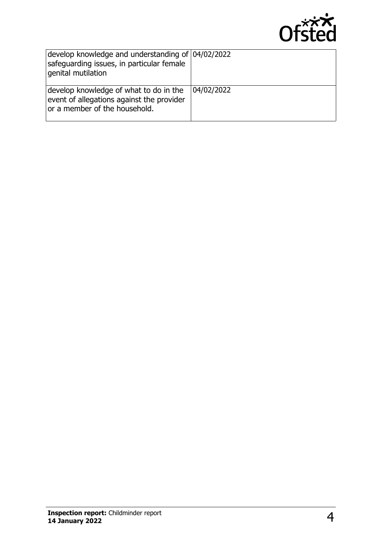

| develop knowledge and understanding of 04/02/2022<br>safeguarding issues, in particular female<br>genital mutilation |            |
|----------------------------------------------------------------------------------------------------------------------|------------|
| develop knowledge of what to do in the<br>event of allegations against the provider<br>or a member of the household. | 04/02/2022 |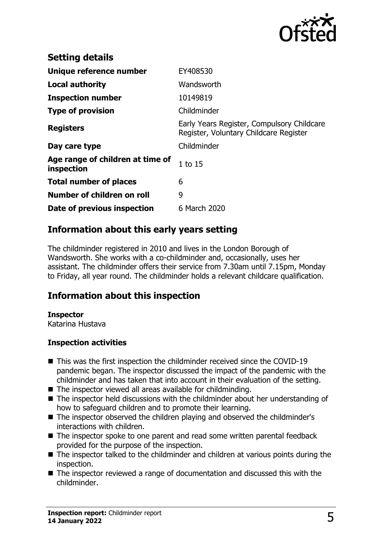

| <b>Setting details</b>                         |                                                                                      |
|------------------------------------------------|--------------------------------------------------------------------------------------|
| Unique reference number                        | EY408530                                                                             |
| <b>Local authority</b>                         | Wandsworth                                                                           |
| <b>Inspection number</b>                       | 10149819                                                                             |
| <b>Type of provision</b>                       | Childminder                                                                          |
| <b>Registers</b>                               | Early Years Register, Compulsory Childcare<br>Register, Voluntary Childcare Register |
| Day care type                                  | Childminder                                                                          |
| Age range of children at time of<br>inspection | $1$ to $15$                                                                          |
| <b>Total number of places</b>                  | 6                                                                                    |
| Number of children on roll                     | 9                                                                                    |
| Date of previous inspection                    | 6 March 2020                                                                         |

## **Information about this early years setting**

The childminder registered in 2010 and lives in the London Borough of Wandsworth. She works with a co-childminder and, occasionally, uses her assistant. The childminder offers their service from 7.30am until 7.15pm, Monday to Friday, all year round. The childminder holds a relevant childcare qualification.

## **Information about this inspection**

#### **Inspector**

Katarina Hustava

#### **Inspection activities**

- $\blacksquare$  This was the first inspection the childminder received since the COVID-19 pandemic began. The inspector discussed the impact of the pandemic with the childminder and has taken that into account in their evaluation of the setting.
- $\blacksquare$  The inspector viewed all areas available for childminding.
- $\blacksquare$  The inspector held discussions with the childminder about her understanding of how to safeguard children and to promote their learning.
- The inspector observed the children playing and observed the childminder's interactions with children.
- The inspector spoke to one parent and read some written parental feedback provided for the purpose of the inspection.
- $\blacksquare$  The inspector talked to the childminder and children at various points during the inspection.
- $\blacksquare$  The inspector reviewed a range of documentation and discussed this with the childminder.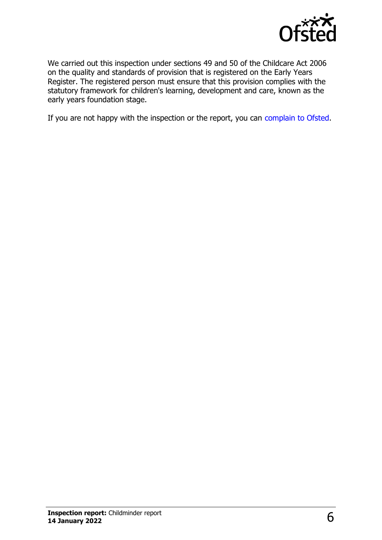

We carried out this inspection under sections 49 and 50 of the Childcare Act 2006 on the quality and standards of provision that is registered on the Early Years Register. The registered person must ensure that this provision complies with the statutory framework for children's learning, development and care, known as the early years foundation stage.

If you are not happy with the inspection or the report, you can [complain to Ofsted](http://www.gov.uk/complain-ofsted-report).